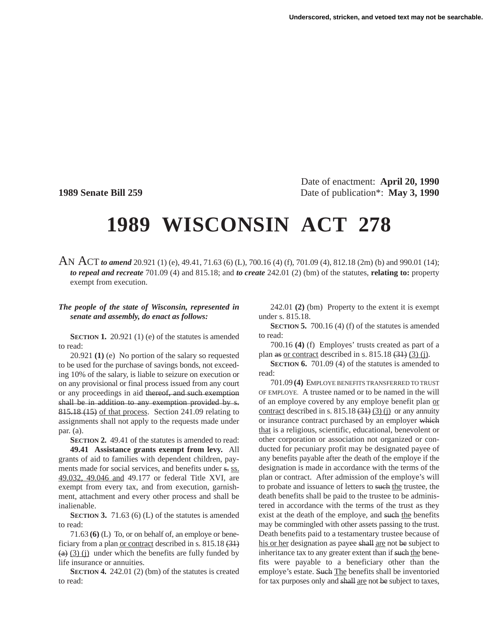Date of enactment: **April 20, 1990 1989 Senate Bill 259** Date of publication\*: **May 3, 1990**

# **1989 WISCONSIN ACT 278**

AN ACT *to amend* 20.921 (1) (e), 49.41, 71.63 (6) (L), 700.16 (4) (f), 701.09 (4), 812.18 (2m) (b) and 990.01 (14); *to repeal and recreate* 701.09 (4) and 815.18; and *to create* 242.01 (2) (bm) of the statutes, **relating to:** property exempt from execution.

## *The people of the state of Wisconsin, represented in senate and assembly, do enact as follows:*

**SECTION 1.** 20.921 (1) (e) of the statutes is amended to read:

20.921 **(1)** (e) No portion of the salary so requested to be used for the purchase of savings bonds, not exceeding 10% of the salary, is liable to seizure on execution or on any provisional or final process issued from any court or any proceedings in aid thereof, and such exemption shall be in addition to any exemption provided by s. 815.18 (15) of that process. Section 241.09 relating to assignments shall not apply to the requests made under par. (a).

**SECTION 2.** 49.41 of the statutes is amended to read: **49.41 Assistance grants exempt from levy.** All grants of aid to families with dependent children, payments made for social services, and benefits under s. ss. 49.032, 49.046 and 49.177 or federal Title XVI, are exempt from every tax, and from execution, garnishment, attachment and every other process and shall be inalienable.

**SECTION 3.** 71.63 (6) (L) of the statutes is amended to read:

71.63 **(6)** (L) To, or on behalf of, an employe or beneficiary from a plan or contract described in s. 815.18 (31)  $(a)$  (3) (i) under which the benefits are fully funded by life insurance or annuities.

**SECTION 4.** 242.01 (2) (bm) of the statutes is created to read:

242.01 **(2)** (bm) Property to the extent it is exempt under s. 815.18.

**SECTION 5.** 700.16 (4) (f) of the statutes is amended to read:

700.16 **(4)** (f) Employes' trusts created as part of a plan as or contract described in s.  $815.18$  (3) (3) (j).

**SECTION 6.** 701.09 (4) of the statutes is amended to read:

701.09 **(4)** EMPLOYE BENEFITS TRANSFERRED TO TRUST OF EMPLOYE. A trustee named or to be named in the will of an employe covered by any employe benefit plan or contract described in s.  $815.18 \left( \frac{31}{2} \right) \left( \frac{3}{2} \right)$  or any annuity or insurance contract purchased by an employer which that is a religious, scientific, educational, benevolent or other corporation or association not organized or conducted for pecuniary profit may be designated payee of any benefits payable after the death of the employe if the designation is made in accordance with the terms of the plan or contract. After admission of the employe's will to probate and issuance of letters to such the trustee, the death benefits shall be paid to the trustee to be administered in accordance with the terms of the trust as they exist at the death of the employe, and such the benefits may be commingled with other assets passing to the trust. Death benefits paid to a testamentary trustee because of his or her designation as payee shall are not be subject to inheritance tax to any greater extent than if such the benefits were payable to a beneficiary other than the employe's estate. Such The benefits shall be inventoried for tax purposes only and shall are not be subject to taxes,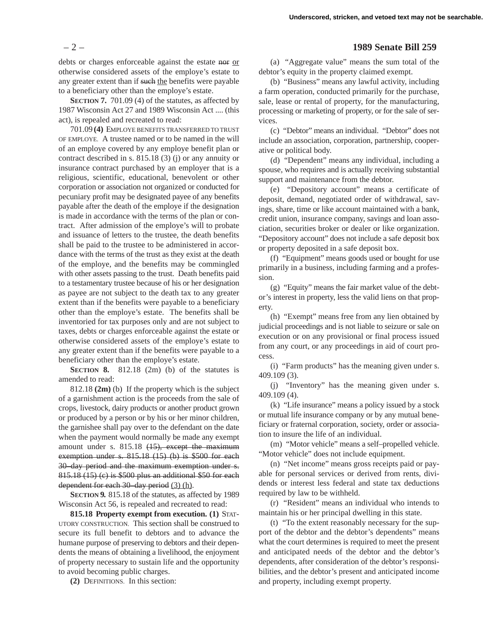debts or charges enforceable against the estate nor or otherwise considered assets of the employe's estate to any greater extent than if such the benefits were payable to a beneficiary other than the employe's estate.

**SECTION 7.** 701.09 (4) of the statutes, as affected by 1987 Wisconsin Act 27 and 1989 Wisconsin Act .... (this act), is repealed and recreated to read:

701.09 **(4)** EMPLOYE BENEFITS TRANSFERRED TO TRUST OF EMPLOYE. A trustee named or to be named in the will of an employe covered by any employe benefit plan or contract described in s. 815.18 (3) (j) or any annuity or insurance contract purchased by an employer that is a religious, scientific, educational, benevolent or other corporation or association not organized or conducted for pecuniary profit may be designated payee of any benefits payable after the death of the employe if the designation is made in accordance with the terms of the plan or contract. After admission of the employe's will to probate and issuance of letters to the trustee, the death benefits shall be paid to the trustee to be administered in accordance with the terms of the trust as they exist at the death of the employe, and the benefits may be commingled with other assets passing to the trust. Death benefits paid to a testamentary trustee because of his or her designation as payee are not subject to the death tax to any greater extent than if the benefits were payable to a beneficiary other than the employe's estate. The benefits shall be inventoried for tax purposes only and are not subject to taxes, debts or charges enforceable against the estate or otherwise considered assets of the employe's estate to any greater extent than if the benefits were payable to a beneficiary other than the employe's estate.

**SECTION 8.** 812.18 (2m) (b) of the statutes is amended to read:

812.18 **(2m)** (b) If the property which is the subject of a garnishment action is the proceeds from the sale of crops, livestock, dairy products or another product grown or produced by a person or by his or her minor children, the garnishee shall pay over to the defendant on the date when the payment would normally be made any exempt amount under s. 815.18 (15), except the maximum exemption under s. 815.18 (15) (b) is \$500 for each 30–day period and the maximum exemption under s. 815.18 (15) (c) is \$500 plus an additional \$50 for each dependent for each 30–day period (3) (h).

**SECTION 9.** 815.18 of the statutes, as affected by 1989 Wisconsin Act 56, is repealed and recreated to read:

**815.18 Property exempt from execution. (1)** STAT-UTORY CONSTRUCTION. This section shall be construed to secure its full benefit to debtors and to advance the humane purpose of preserving to debtors and their dependents the means of obtaining a livelihood, the enjoyment of property necessary to sustain life and the opportunity to avoid becoming public charges.

**(2)** DEFINITIONS. In this section:

# – 2 – **1989 Senate Bill 259**

(a) "Aggregate value" means the sum total of the debtor's equity in the property claimed exempt.

(b) "Business" means any lawful activity, including a farm operation, conducted primarily for the purchase, sale, lease or rental of property, for the manufacturing, processing or marketing of property, or for the sale of services.

(c) "Debtor" means an individual. "Debtor" does not include an association, corporation, partnership, cooperative or political body.

(d) "Dependent" means any individual, including a spouse, who requires and is actually receiving substantial support and maintenance from the debtor.

(e) "Depository account" means a certificate of deposit, demand, negotiated order of withdrawal, savings, share, time or like account maintained with a bank, credit union, insurance company, savings and loan association, securities broker or dealer or like organization. "Depository account" does not include a safe deposit box or property deposited in a safe deposit box.

(f) "Equipment" means goods used or bought for use primarily in a business, including farming and a profession.

(g) "Equity" means the fair market value of the debtor's interest in property, less the valid liens on that property.

(h) "Exempt" means free from any lien obtained by judicial proceedings and is not liable to seizure or sale on execution or on any provisional or final process issued from any court, or any proceedings in aid of court process.

(i) "Farm products" has the meaning given under s. 409.109 (3).

(j) "Inventory" has the meaning given under s. 409.109 (4).

(k) "Life insurance" means a policy issued by a stock or mutual life insurance company or by any mutual beneficiary or fraternal corporation, society, order or association to insure the life of an individual.

(m) "Motor vehicle" means a self–propelled vehicle. "Motor vehicle" does not include equipment.

(n) "Net income" means gross receipts paid or payable for personal services or derived from rents, dividends or interest less federal and state tax deductions required by law to be withheld.

(r) "Resident" means an individual who intends to maintain his or her principal dwelling in this state.

(t) "To the extent reasonably necessary for the support of the debtor and the debtor's dependents" means what the court determines is required to meet the present and anticipated needs of the debtor and the debtor's dependents, after consideration of the debtor's responsibilities, and the debtor's present and anticipated income and property, including exempt property.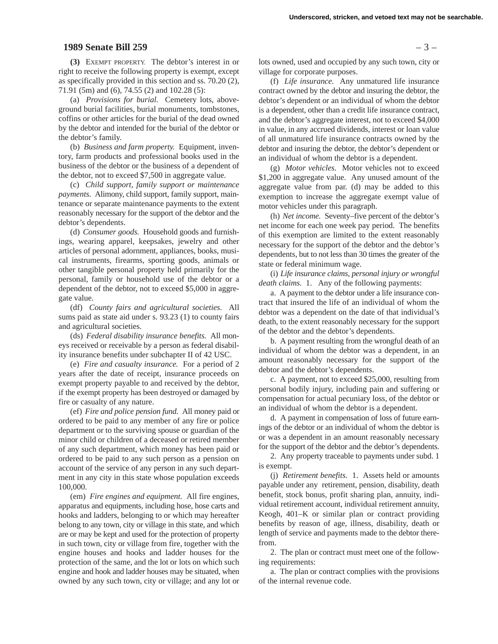#### **1989 Senate Bill 259** – 3 –

**(3)** EXEMPT PROPERTY. The debtor's interest in or right to receive the following property is exempt, except as specifically provided in this section and ss. 70.20 (2), 71.91 (5m) and (6), 74.55 (2) and 102.28 (5):

(a) *Provisions for burial.* Cemetery lots, aboveground burial facilities, burial monuments, tombstones, coffins or other articles for the burial of the dead owned by the debtor and intended for the burial of the debtor or the debtor's family.

(b) *Business and farm property.* Equipment, inventory, farm products and professional books used in the business of the debtor or the business of a dependent of the debtor, not to exceed \$7,500 in aggregate value.

(c) *Child support, family support or maintenance payments.* Alimony, child support, family support, maintenance or separate maintenance payments to the extent reasonably necessary for the support of the debtor and the debtor's dependents.

(d) *Consumer goods.* Household goods and furnishings, wearing apparel, keepsakes, jewelry and other articles of personal adornment, appliances, books, musical instruments, firearms, sporting goods, animals or other tangible personal property held primarily for the personal, family or household use of the debtor or a dependent of the debtor, not to exceed \$5,000 in aggregate value.

(df) *County fairs and agricultural societies.* All sums paid as state aid under s. 93.23 (1) to county fairs and agricultural societies.

(ds) *Federal disability insurance benefits.* All moneys received or receivable by a person as federal disability insurance benefits under subchapter II of 42 USC.

(e) *Fire and casualty insurance.* For a period of 2 years after the date of receipt, insurance proceeds on exempt property payable to and received by the debtor, if the exempt property has been destroyed or damaged by fire or casualty of any nature.

(ef) *Fire and police pension fund.* All money paid or ordered to be paid to any member of any fire or police department or to the surviving spouse or guardian of the minor child or children of a deceased or retired member of any such department, which money has been paid or ordered to be paid to any such person as a pension on account of the service of any person in any such department in any city in this state whose population exceeds 100,000.

(em) *Fire engines and equipment.* All fire engines, apparatus and equipments, including hose, hose carts and hooks and ladders, belonging to or which may hereafter belong to any town, city or village in this state, and which are or may be kept and used for the protection of property in such town, city or village from fire, together with the engine houses and hooks and ladder houses for the protection of the same, and the lot or lots on which such engine and hook and ladder houses may be situated, when owned by any such town, city or village; and any lot or

lots owned, used and occupied by any such town, city or village for corporate purposes.

(f) *Life insurance.* Any unmatured life insurance contract owned by the debtor and insuring the debtor, the debtor's dependent or an individual of whom the debtor is a dependent, other than a credit life insurance contract, and the debtor's aggregate interest, not to exceed \$4,000 in value, in any accrued dividends, interest or loan value of all unmatured life insurance contracts owned by the debtor and insuring the debtor, the debtor's dependent or an individual of whom the debtor is a dependent.

(g) *Motor vehicles.* Motor vehicles not to exceed \$1,200 in aggregate value. Any unused amount of the aggregate value from par. (d) may be added to this exemption to increase the aggregate exempt value of motor vehicles under this paragraph.

(h) *Net income.* Seventy–five percent of the debtor's net income for each one week pay period. The benefits of this exemption are limited to the extent reasonably necessary for the support of the debtor and the debtor's dependents, but to not less than 30 times the greater of the state or federal minimum wage.

(i) *Life insurance claims, personal injury or wrongful death claims.* 1. Any of the following payments:

a. A payment to the debtor under a life insurance contract that insured the life of an individual of whom the debtor was a dependent on the date of that individual's death, to the extent reasonably necessary for the support of the debtor and the debtor's dependents.

b. A payment resulting from the wrongful death of an individual of whom the debtor was a dependent, in an amount reasonably necessary for the support of the debtor and the debtor's dependents.

c. A payment, not to exceed \$25,000, resulting from personal bodily injury, including pain and suffering or compensation for actual pecuniary loss, of the debtor or an individual of whom the debtor is a dependent.

d. A payment in compensation of loss of future earnings of the debtor or an individual of whom the debtor is or was a dependent in an amount reasonably necessary for the support of the debtor and the debtor's dependents.

2. Any property traceable to payments under subd. 1 is exempt.

(j) *Retirement benefits.* 1. Assets held or amounts payable under any retirement, pension, disability, death benefit, stock bonus, profit sharing plan, annuity, individual retirement account, individual retirement annuity, Keogh, 401–K or similar plan or contract providing benefits by reason of age, illness, disability, death or length of service and payments made to the debtor therefrom.

2. The plan or contract must meet one of the following requirements:

a. The plan or contract complies with the provisions of the internal revenue code.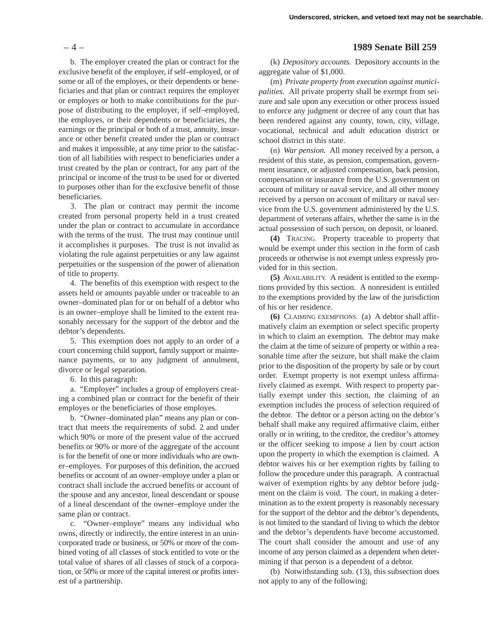b. The employer created the plan or contract for the exclusive benefit of the employer, if self–employed, or of some or all of the employes, or their dependents or beneficiaries and that plan or contract requires the employer or employes or both to make contributions for the purpose of distributing to the employer, if self–employed, the employes, or their dependents or beneficiaries, the earnings or the principal or both of a trust, annuity, insurance or other benefit created under the plan or contract and makes it impossible, at any time prior to the satisfaction of all liabilities with respect to beneficiaries under a trust created by the plan or contract, for any part of the principal or income of the trust to be used for or diverted to purposes other than for the exclusive benefit of those beneficiaries.

3. The plan or contract may permit the income created from personal property held in a trust created under the plan or contract to accumulate in accordance with the terms of the trust. The trust may continue until it accomplishes it purposes. The trust is not invalid as violating the rule against perpetuities or any law against perpetuities or the suspension of the power of alienation of title to property.

4. The benefits of this exemption with respect to the assets held or amounts payable under or traceable to an owner–dominated plan for or on behalf of a debtor who is an owner–employe shall be limited to the extent reasonably necessary for the support of the debtor and the debtor's dependents.

5. This exemption does not apply to an order of a court concerning child support, family support or maintenance payments, or to any judgment of annulment, divorce or legal separation.

6. In this paragraph:

a. "Employer" includes a group of employers creating a combined plan or contract for the benefit of their employes or the beneficiaries of those employes.

b. "Owner–dominated plan" means any plan or contract that meets the requirements of subd. 2 and under which 90% or more of the present value of the accrued benefits or 90% or more of the aggregate of the account is for the benefit of one or more individuals who are owner–employes. For purposes of this definition, the accrued benefits or account of an owner–employe under a plan or contract shall include the accrued benefits or account of the spouse and any ancestor, lineal descendant or spouse of a lineal descendant of the owner–employe under the same plan or contract.

c. "Owner–employe" means any individual who owns, directly or indirectly, the entire interest in an unincorporated trade or business, or 50% or more of the combined voting of all classes of stock entitled to vote or the total value of shares of all classes of stock of a corporation, or 50% or more of the capital interest or profits interest of a partnership.

## – 4 – **1989 Senate Bill 259**

(k) *Depository accounts.* Depository accounts in the aggregate value of \$1,000.

(m) *Private property from execution against municipalities.* All private property shall be exempt from seizure and sale upon any execution or other process issued to enforce any judgment or decree of any court that has been rendered against any county, town, city, village, vocational, technical and adult education district or school district in this state.

(n) *War pension.* All money received by a person, a resident of this state, as pension, compensation, government insurance, or adjusted compensation, back pension, compensation or insurance from the U.S. government on account of military or naval service, and all other money received by a person on account of military or naval service from the U.S. government administered by the U.S. department of veterans affairs, whether the same is in the actual possession of such person, on deposit, or loaned.

**(4)** TRACING. Property traceable to property that would be exempt under this section in the form of cash proceeds or otherwise is not exempt unless expressly provided for in this section.

**(5)** AVAILABILITY. A resident is entitled to the exemptions provided by this section. A nonresident is entitled to the exemptions provided by the law of the jurisdiction of his or her residence.

**(6)** CLAIMING EXEMPTIONS. (a) A debtor shall affirmatively claim an exemption or select specific property in which to claim an exemption. The debtor may make the claim at the time of seizure of property or within a reasonable time after the seizure, but shall make the claim prior to the disposition of the property by sale or by court order. Exempt property is not exempt unless affirmatively claimed as exempt. With respect to property partially exempt under this section, the claiming of an exemption includes the process of selection required of the debtor. The debtor or a person acting on the debtor's behalf shall make any required affirmative claim, either orally or in writing, to the creditor, the creditor's attorney or the officer seeking to impose a lien by court action upon the property in which the exemption is claimed. A debtor waives his or her exemption rights by failing to follow the procedure under this paragraph. A contractual waiver of exemption rights by any debtor before judgment on the claim is void. The court, in making a determination as to the extent property is reasonably necessary for the support of the debtor and the debtor's dependents, is not limited to the standard of living to which the debtor and the debtor's dependents have become accustomed. The court shall consider the amount and use of any income of any person claimed as a dependent when determining if that person is a dependent of a debtor.

(b) Notwithstanding sub. (13), this subsection does not apply to any of the following: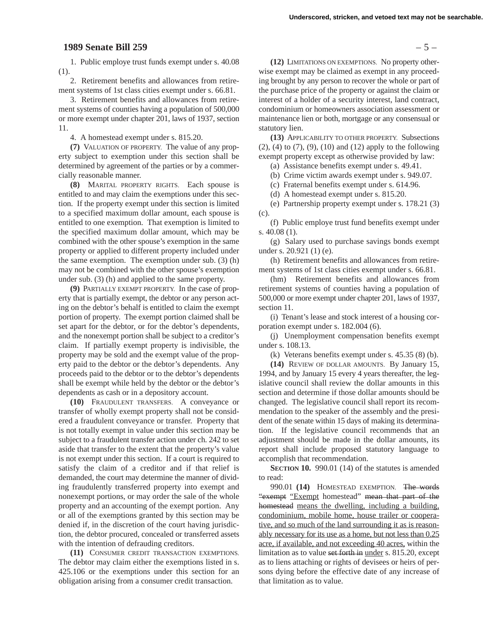# **1989 Senate Bill 259** – 5 –

1. Public employe trust funds exempt under s. 40.08 (1).

2. Retirement benefits and allowances from retirement systems of 1st class cities exempt under s. 66.81.

3. Retirement benefits and allowances from retirement systems of counties having a population of 500,000 or more exempt under chapter 201, laws of 1937, section 11.

4. A homestead exempt under s. 815.20.

**(7)** VALUATION OF PROPERTY. The value of any property subject to exemption under this section shall be determined by agreement of the parties or by a commercially reasonable manner.

**(8)** MARITAL PROPERTY RIGHTS. Each spouse is entitled to and may claim the exemptions under this section. If the property exempt under this section is limited to a specified maximum dollar amount, each spouse is entitled to one exemption. That exemption is limited to the specified maximum dollar amount, which may be combined with the other spouse's exemption in the same property or applied to different property included under the same exemption. The exemption under sub. (3) (h) may not be combined with the other spouse's exemption under sub. (3) (h) and applied to the same property.

**(9)** PARTIALLY EXEMPT PROPERTY. In the case of property that is partially exempt, the debtor or any person acting on the debtor's behalf is entitled to claim the exempt portion of property. The exempt portion claimed shall be set apart for the debtor, or for the debtor's dependents, and the nonexempt portion shall be subject to a creditor's claim. If partially exempt property is indivisible, the property may be sold and the exempt value of the property paid to the debtor or the debtor's dependents. Any proceeds paid to the debtor or to the debtor's dependents shall be exempt while held by the debtor or the debtor's dependents as cash or in a depository account.

**(10)** FRAUDULENT TRANSFERS. A conveyance or transfer of wholly exempt property shall not be considered a fraudulent conveyance or transfer. Property that is not totally exempt in value under this section may be subject to a fraudulent transfer action under ch. 242 to set aside that transfer to the extent that the property's value is not exempt under this section. If a court is required to satisfy the claim of a creditor and if that relief is demanded, the court may determine the manner of dividing fraudulently transferred property into exempt and nonexempt portions, or may order the sale of the whole property and an accounting of the exempt portion. Any or all of the exemptions granted by this section may be denied if, in the discretion of the court having jurisdiction, the debtor procured, concealed or transferred assets with the intention of defrauding creditors.

**(11)** CONSUMER CREDIT TRANSACTION EXEMPTIONS. The debtor may claim either the exemptions listed in s. 425.106 or the exemptions under this section for an obligation arising from a consumer credit transaction.

**(12)** LIMITATIONS ON EXEMPTIONS. No property otherwise exempt may be claimed as exempt in any proceeding brought by any person to recover the whole or part of the purchase price of the property or against the claim or interest of a holder of a security interest, land contract, condominium or homeowners association assessment or maintenance lien or both, mortgage or any consensual or statutory lien.

**(13)** APPLICABILITY TO OTHER PROPERTY. Subsections (2), (4) to (7), (9), (10) and (12) apply to the following exempt property except as otherwise provided by law:

(a) Assistance benefits exempt under s. 49.41.

(b) Crime victim awards exempt under s. 949.07.

(c) Fraternal benefits exempt under s. 614.96.

(d) A homestead exempt under s. 815.20.

(e) Partnership property exempt under s. 178.21 (3) (c).

(f) Public employe trust fund benefits exempt under s. 40.08 (1).

(g) Salary used to purchase savings bonds exempt under s. 20.921 (1) (e).

(h) Retirement benefits and allowances from retirement systems of 1st class cities exempt under s. 66.81.

(hm) Retirement benefits and allowances from retirement systems of counties having a population of 500,000 or more exempt under chapter 201, laws of 1937, section 11.

(i) Tenant's lease and stock interest of a housing corporation exempt under s. 182.004 (6).

(j) Unemployment compensation benefits exempt under s. 108.13.

(k) Veterans benefits exempt under s. 45.35 (8) (b).

**(14)** REVIEW OF DOLLAR AMOUNTS. By January 15, 1994, and by January 15 every 4 years thereafter, the legislative council shall review the dollar amounts in this section and determine if those dollar amounts should be changed. The legislative council shall report its recommendation to the speaker of the assembly and the president of the senate within 15 days of making its determination. If the legislative council recommends that an adjustment should be made in the dollar amounts, its report shall include proposed statutory language to accomplish that recommendation.

**SECTION 10.** 990.01 (14) of the statutes is amended to read:

990.01 **(14)** HOMESTEAD EXEMPTION. The words "exempt "Exempt homestead" mean that part of the homestead means the dwelling, including a building, condominium, mobile home, house trailer or cooperative, and so much of the land surrounding it as is reasonably necessary for its use as a home, but not less than 0.25 acre, if available, and not exceeding 40 acres, within the limitation as to value set forth in under s. 815.20, except as to liens attaching or rights of devisees or heirs of persons dying before the effective date of any increase of that limitation as to value.